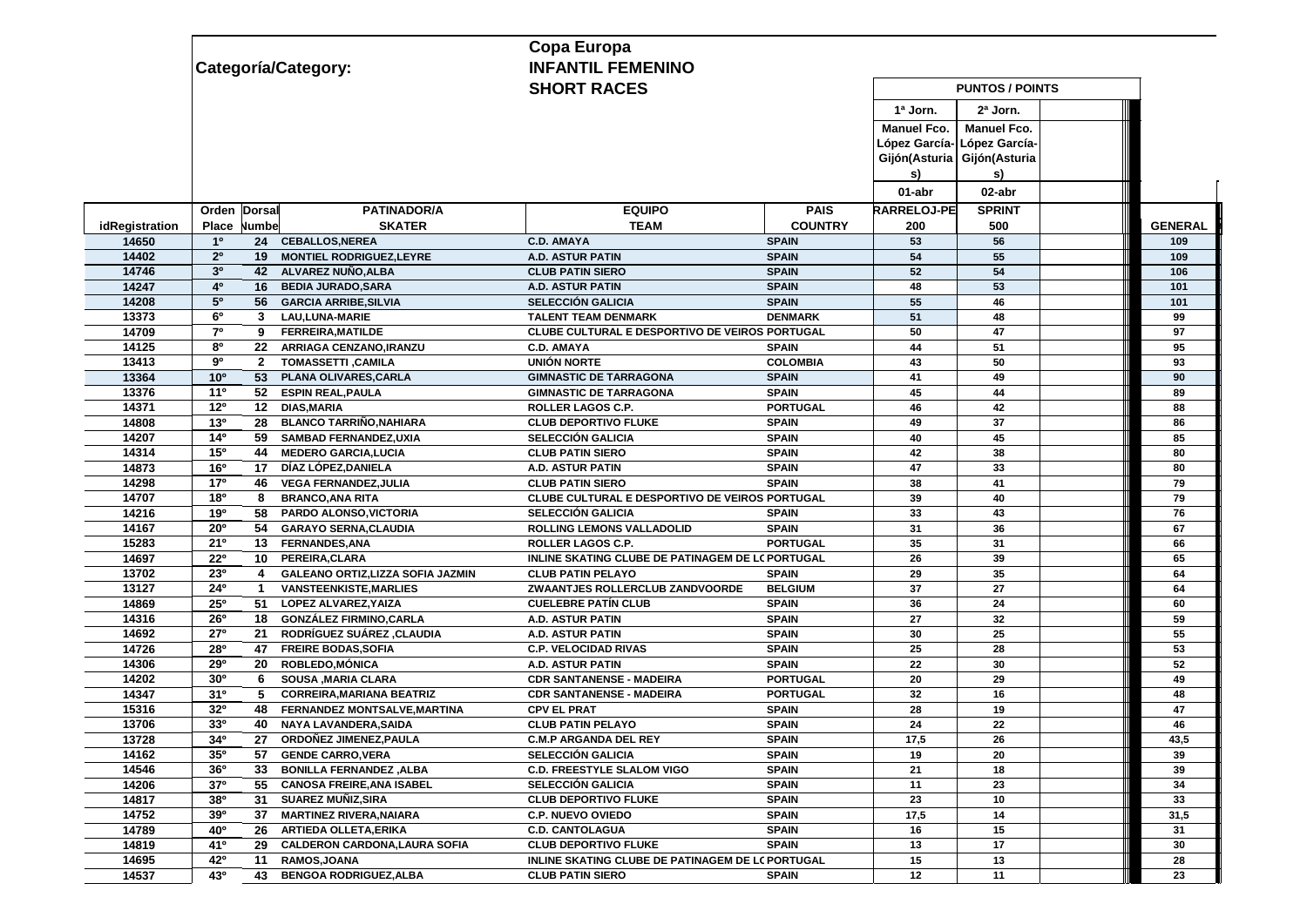|                |                                   |                                                     | Copa Europa                                      |                 |                             |                        |                |  |
|----------------|-----------------------------------|-----------------------------------------------------|--------------------------------------------------|-----------------|-----------------------------|------------------------|----------------|--|
|                |                                   | Categoría/Category:                                 | <b>INFANTIL FEMENINO</b>                         |                 |                             |                        |                |  |
|                |                                   |                                                     | <b>SHORT RACES</b>                               |                 |                             | <b>PUNTOS / POINTS</b> |                |  |
|                |                                   |                                                     |                                                  |                 | 1ª Jorn.                    | 2ª Jorn.               |                |  |
|                |                                   |                                                     |                                                  |                 | <b>Manuel Fco.</b>          | <b>Manuel Fco.</b>     |                |  |
|                |                                   |                                                     |                                                  |                 | López García-l              | López García-          |                |  |
|                |                                   |                                                     |                                                  |                 | Gijón(Asturia Gijón(Asturia |                        |                |  |
|                |                                   |                                                     |                                                  |                 | s)                          | s)                     |                |  |
|                |                                   |                                                     |                                                  |                 | 01-abr                      | 02-abr                 |                |  |
|                | Dorsal<br>Orden                   | <b>PATINADOR/A</b>                                  | <b>EQUIPO</b>                                    | <b>PAIS</b>     | <b>RARRELOJ-PE</b>          | <b>SPRINT</b>          |                |  |
| idRegistration | Place<br>Numbe                    | <b>SKATER</b>                                       | <b>TEAM</b>                                      | <b>COUNTRY</b>  | 200                         | 500                    | <b>GENERAL</b> |  |
| 14650          | 1 <sup>0</sup>                    | 24 CEBALLOS, NEREA                                  | <b>C.D. AMAYA</b>                                | <b>SPAIN</b>    | 53                          | 56                     | 109            |  |
| 14402          | 2 <sup>0</sup><br>19 <sup>°</sup> | <b>MONTIEL RODRIGUEZ, LEYRE</b>                     | A.D. ASTUR PATIN                                 | <b>SPAIN</b>    | 54                          | 55                     | 109            |  |
| 14746          | 3 <sup>0</sup><br>42              | ALVAREZ NUÑO, ALBA                                  | <b>CLUB PATIN SIERO</b>                          | <b>SPAIN</b>    | 52                          | 54                     | 106            |  |
| 14247          | 4 <sup>o</sup><br>16              | <b>BEDIA JURADO, SARA</b>                           | A.D. ASTUR PATIN                                 | <b>SPAIN</b>    | 48                          | 53                     | 101            |  |
| 14208          | 5 <sup>0</sup><br>56              | <b>GARCIA ARRIBE, SILVIA</b>                        | <b>SELECCIÓN GALICIA</b>                         | <b>SPAIN</b>    | 55                          | 46                     | 101            |  |
| 13373          | 6 <sup>o</sup><br>3               | LAU, LUNA-MARIE                                     | <b>TALENT TEAM DENMARK</b>                       | <b>DENMARK</b>  | 51                          | 48                     | 99             |  |
| 14709          | 7 <sup>0</sup><br>9               | <b>FERREIRA, MATILDE</b>                            | CLUBE CULTURAL E DESPORTIVO DE VEIROS PORTUGAL   |                 | 50                          | 47                     | 97             |  |
| 14125          | 80<br>22                          | ARRIAGA CENZANO, IRANZU                             | <b>C.D. AMAYA</b>                                | <b>SPAIN</b>    | 44                          | 51                     | 95             |  |
| 13413          | 90<br>$\mathbf{2}$                | <b>TOMASSETTI, CAMILA</b>                           | UNIÓN NORTE                                      | <b>COLOMBIA</b> | 43                          | 50                     | 93             |  |
| 13364          | 10 <sup>o</sup><br>53             | PLANA OLIVARES, CARLA                               | <b>GIMNASTIC DE TARRAGONA</b>                    | <b>SPAIN</b>    | 41                          | 49                     | 90             |  |
| 13376          | 11 <sup>0</sup><br>52             | <b>ESPIN REAL, PAULA</b>                            | <b>GIMNASTIC DE TARRAGONA</b>                    | <b>SPAIN</b>    | 45                          | 44                     | 89             |  |
| 14371          | 12 <sup>0</sup><br>12             | <b>DIAS, MARIA</b>                                  | ROLLER LAGOS C.P.                                | <b>PORTUGAL</b> | 46                          | 42                     | 88             |  |
| 14808          | 13 <sup>0</sup><br>28             | <b>BLANCO TARRIÑO, NAHIARA</b>                      | <b>CLUB DEPORTIVO FLUKE</b>                      | <b>SPAIN</b>    | 49                          | 37                     | 86             |  |
| 14207          | 14°<br>59                         | <b>SAMBAD FERNANDEZ.UXIA</b>                        | <b>SELECCIÓN GALICIA</b>                         | <b>SPAIN</b>    | 40                          | 45                     | 85             |  |
| 14314          | 15°<br>44                         | <b>MEDERO GARCIA, LUCIA</b>                         | <b>CLUB PATIN SIERO</b>                          | <b>SPAIN</b>    | 42                          | 38                     | 80             |  |
| 14873          | 16 <sup>o</sup><br>17             | DÍAZ LÓPEZ, DANIELA                                 | A.D. ASTUR PATIN                                 | <b>SPAIN</b>    | 47                          | 33                     | 80             |  |
| 14298          | 17 <sup>o</sup><br>46             | <b>VEGA FERNANDEZ, JULIA</b>                        | <b>CLUB PATIN SIERO</b>                          | <b>SPAIN</b>    | 38                          | 41                     | 79             |  |
| 14707          | 180<br>8                          | <b>BRANCO, ANA RITA</b>                             | CLUBE CULTURAL E DESPORTIVO DE VEIROS PORTUGAL   |                 | 39                          | 40                     | 79             |  |
| 14216          | 19°<br>58                         | <b>PARDO ALONSO, VICTORIA</b>                       | <b>SELECCIÓN GALICIA</b>                         | <b>SPAIN</b>    | 33                          | 43                     | 76             |  |
| 14167          | $20^{\circ}$<br>54                | <b>GARAYO SERNA, CLAUDIA</b>                        | ROLLING LEMONS VALLADOLID                        | <b>SPAIN</b>    | 31                          | 36                     | 67             |  |
| 15283          | 21°                               | 13 FERNANDES, ANA                                   | <b>ROLLER LAGOS C.P.</b>                         | <b>PORTUGAL</b> | 35                          | 31                     | 66             |  |
| 14697          | 22°<br>10                         | PEREIRA, CLARA                                      | INLINE SKATING CLUBE DE PATINAGEM DE LC PORTUGAL |                 | 26                          | 39                     | 65             |  |
| 13702          | 230<br>4                          | GALEANO ORTIZ, LIZZA SOFIA JAZMIN                   | <b>CLUB PATIN PELAYO</b>                         | <b>SPAIN</b>    | 29                          | 35                     | 64             |  |
| 13127          | 24°<br>$\mathbf{1}$               | <b>VANSTEENKISTE, MARLIES</b>                       | ZWAANTJES ROLLERCLUB ZANDVOORDE                  | <b>BELGIUM</b>  | 37                          | 27                     | 64             |  |
| 14869          | $25^{\circ}$<br>51                | LOPEZ ALVAREZ, YAIZA                                | <b>CUELEBRE PATIN CLUB</b>                       | <b>SPAIN</b>    | 36                          | 24                     | 60             |  |
| 14316          | 26°<br>18                         | <b>GONZÁLEZ FIRMINO, CARLA</b>                      | <b>A.D. ASTUR PATIN</b>                          | <b>SPAIN</b>    | 27                          | 32                     | 59             |  |
| 14692          | 27°<br>21                         | RODRÍGUEZ SUÁREZ ,CLAUDIA                           | <b>A.D. ASTUR PATIN</b>                          | <b>SPAIN</b>    | 30                          | 25                     | 55             |  |
| 14726          | 28°<br>47                         | <b>FREIRE BODAS, SOFIA</b>                          | <b>C.P. VELOCIDAD RIVAS</b>                      | <b>SPAIN</b>    | 25                          | 28                     | 53             |  |
| 14306          | 29°<br>20                         | <b>ROBLEDO, MÓNICA</b>                              | A.D. ASTUR PATIN                                 | <b>SPAIN</b>    | 22                          | 30                     | 52             |  |
| 14202          | 30 <sup>o</sup><br>6              | <b>SOUSA .MARIA CLARA</b>                           | <b>CDR SANTANENSE - MADEIRA</b>                  | <b>PORTUGAL</b> | 20                          | 29                     | 49             |  |
| 14347          | 31 <sup>0</sup><br>5              | <b>CORREIRA, MARIANA BEATRIZ</b>                    | <b>CDR SANTANENSE - MADEIRA</b>                  | <b>PORTUGAL</b> | 32                          | 16                     | 48             |  |
| 15316          | 32°<br>48                         | <b>FERNANDEZ MONTSALVE.MARTINA</b>                  | <b>CPV EL PRAT</b>                               | <b>SPAIN</b>    | 28                          | 19                     | 47             |  |
| 13706          | 330<br>40                         | NAYA LAVANDERA, SAIDA                               | <b>CLUB PATIN PELAYO</b>                         | <b>SPAIN</b>    | 24                          | 22                     | 46             |  |
| 13728          | 34°<br>27                         | <b>ORDONEZ JIMENEZ, PAULA</b>                       | <b>C.M.P ARGANDA DEL REY</b>                     | <b>SPAIN</b>    | 17,5                        | 26                     | 43,5           |  |
| 14162          | 35 <sup>o</sup>                   | 57 GENDE CARRO, VERA                                | <b>SELECCIÓN GALICIA</b>                         | <b>SPAIN</b>    | 19                          | 20                     | 39             |  |
| 14546          | 36 <sup>o</sup><br>33             | BONILLA FERNANDEZ, ALBA                             | <b>C.D. FREESTYLE SLALOM VIGO</b>                | <b>SPAIN</b>    | 21                          | 18                     | 39             |  |
| 14206          | 37 <sup>0</sup>                   | 55 CANOSA FREIRE, ANA ISABEL                        | <b>SELECCIÓN GALICIA</b>                         | <b>SPAIN</b>    | 11                          | 23                     | 34             |  |
| 14817          | 380                               | 31 SUAREZ MUÑIZ, SIRA                               | <b>CLUB DEPORTIVO FLUKE</b>                      | <b>SPAIN</b>    | 23                          | 10                     | 33             |  |
| 14752          | 39 <sup>o</sup><br>37             | <b>MARTINEZ RIVERA, NAIARA</b>                      | <b>C.P. NUEVO OVIEDO</b>                         | <b>SPAIN</b>    | 17,5                        | 14                     | 31,5           |  |
| 14789          | 40°                               | 26 ARTIEDA OLLETA, ERIKA                            | <b>C.D. CANTOLAGUA</b>                           | <b>SPAIN</b>    | 16                          | 15                     | 31             |  |
| 14819          | 41°                               |                                                     | <b>CLUB DEPORTIVO FLUKE</b>                      | <b>SPAIN</b>    |                             |                        | 30             |  |
| 14695          | 42°                               | 29 CALDERON CARDONA, LAURA SOFIA<br>11 RAMOS, JOANA | INLINE SKATING CLUBE DE PATINAGEM DE LC PORTUGAL |                 | 13                          | 17                     |                |  |
|                | 43°                               |                                                     |                                                  |                 | 15<br>12                    | 13                     | 28<br>23       |  |
| 14537          | 43                                | <b>BENGOA RODRIGUEZ, ALBA</b>                       | <b>CLUB PATIN SIERO</b>                          | <b>SPAIN</b>    |                             | 11                     |                |  |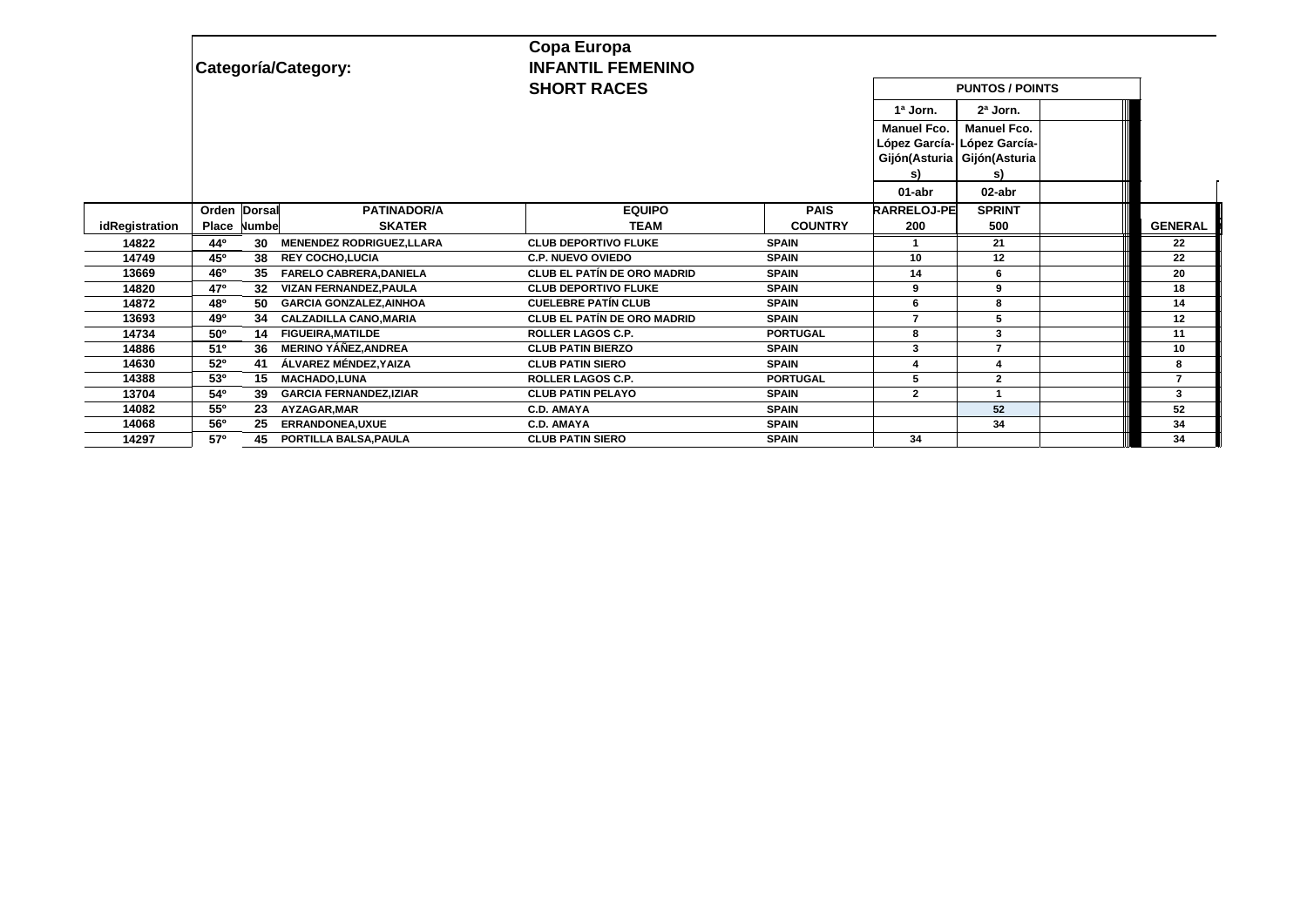|                | Categoría/Category:                                     | Copa Europa<br><b>INFANTIL FEMENINO</b><br><b>SHORT RACES</b> | <b>PUNTOS / POINTS</b> |                                                         |                                                         |  |                          |
|----------------|---------------------------------------------------------|---------------------------------------------------------------|------------------------|---------------------------------------------------------|---------------------------------------------------------|--|--------------------------|
|                |                                                         |                                                               |                        | 1ª Jorn.                                                | 2ª Jorn.                                                |  |                          |
|                |                                                         |                                                               |                        | <b>Manuel Fco.</b><br>Gijón(Asturia Gijón(Asturia<br>s) | <b>Manuel Fco.</b><br>López García- López García-<br>s) |  |                          |
|                |                                                         |                                                               |                        | 01-abr                                                  | 02-abr                                                  |  |                          |
|                | <b>PATINADOR/A</b><br>Orden Dorsal                      | <b>EQUIPO</b>                                                 | <b>PAIS</b>            | <b>RARRELOJ-PE</b>                                      | <b>SPRINT</b>                                           |  |                          |
| idRegistration | <b>SKATER</b><br>Place<br>Numbe                         | <b>TEAM</b>                                                   | <b>COUNTRY</b>         | 200                                                     | 500                                                     |  | <b>GENERAL</b>           |
| 14822          | 44°<br>30<br><b>MENENDEZ RODRIGUEZ, LLARA</b>           | <b>CLUB DEPORTIVO FLUKE</b>                                   | <b>SPAIN</b>           |                                                         | 21                                                      |  | 22                       |
| 14749          | 45°<br>38<br><b>REY COCHO.LUCIA</b>                     | <b>C.P. NUEVO OVIEDO</b>                                      | <b>SPAIN</b>           | 10                                                      | 12                                                      |  | 22                       |
| 13669          | 46°<br><b>FARELO CABRERA, DANIELA</b><br>35             | <b>CLUB EL PATÍN DE ORO MADRID</b>                            | <b>SPAIN</b>           | 14                                                      |                                                         |  | 20                       |
| 14820          | 47°<br><b>VIZAN FERNANDEZ.PAULA</b><br>32               | <b>CLUB DEPORTIVO FLUKE</b>                                   | <b>SPAIN</b>           | 9                                                       | 9                                                       |  | 18                       |
| 14872          | 48 <sup>o</sup><br><b>GARCIA GONZALEZ, AINHOA</b><br>50 | <b>CUELEBRE PATÍN CLUB</b>                                    | <b>SPAIN</b>           | 6                                                       | 8                                                       |  | 14                       |
| 13693          | 49°<br><b>CALZADILLA CANO.MARIA</b><br>34               | <b>CLUB EL PATÍN DE ORO MADRID</b>                            | <b>SPAIN</b>           | 7                                                       | 5                                                       |  | 12                       |
| 14734          | 50°<br><b>FIGUEIRA, MATILDE</b><br>14                   | <b>ROLLER LAGOS C.P.</b>                                      | <b>PORTUGAL</b>        | 8                                                       | 3                                                       |  | 11                       |
| 14886          | <b>MERINO YÁÑEZ, ANDREA</b><br>51°<br>36                | <b>CLUB PATIN BIERZO</b>                                      | <b>SPAIN</b>           | 3                                                       | $\overline{ }$                                          |  | 10                       |
| 14630          | 52°<br>ÁLVAREZ MÉNDEZ.YAIZA<br>41                       | <b>CLUB PATIN SIERO</b>                                       | <b>SPAIN</b>           |                                                         |                                                         |  | 8                        |
| 14388          | 53 <sup>o</sup><br><b>MACHADO.LUNA</b><br>15            | <b>ROLLER LAGOS C.P.</b>                                      | <b>PORTUGAL</b>        | 5                                                       | $\overline{2}$                                          |  | $\overline{\phantom{a}}$ |
| 13704          | 54°<br><b>GARCIA FERNANDEZ, IZIAR</b><br>39             | <b>CLUB PATIN PELAYO</b>                                      | <b>SPAIN</b>           | $\overline{2}$                                          | 1                                                       |  | 3                        |
| 14082          | 55°<br>23<br>AYZAGAR, MAR                               | <b>C.D. AMAYA</b>                                             | <b>SPAIN</b>           |                                                         | 52                                                      |  | 52                       |
| 14068          | 56°<br>ERRANDONEA, UXUE<br>25                           | <b>C.D. AMAYA</b>                                             | <b>SPAIN</b>           |                                                         | 34                                                      |  | 34                       |
| 14297          | $57^\circ$<br>45<br>PORTILLA BALSA, PAULA               | <b>CLUB PATIN SIERO</b>                                       | <b>SPAIN</b>           | 34                                                      |                                                         |  | 34                       |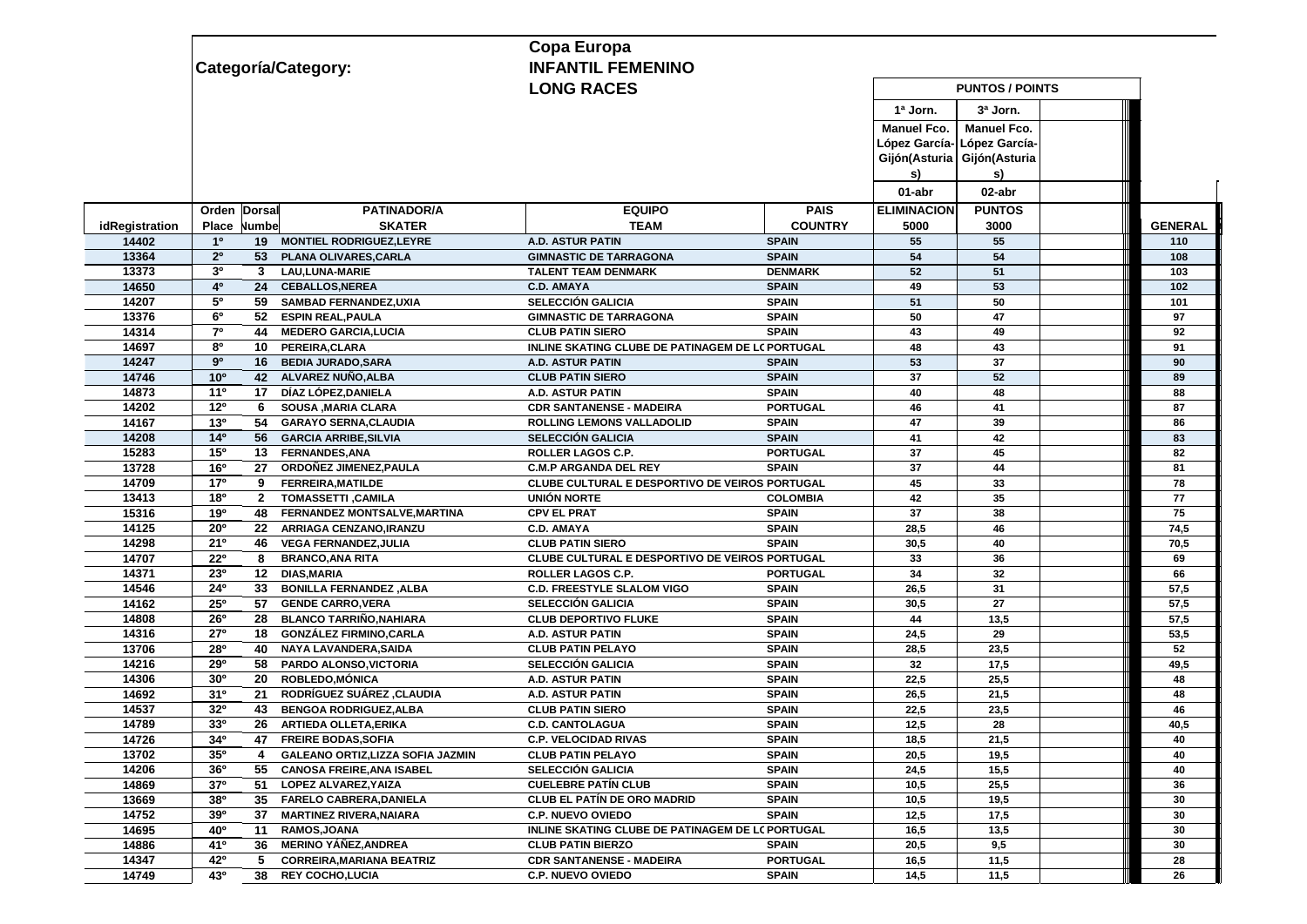|                |                 |                 |                                   | Copa Europa                                                 |                 |                             |                             |                |
|----------------|-----------------|-----------------|-----------------------------------|-------------------------------------------------------------|-----------------|-----------------------------|-----------------------------|----------------|
|                |                 |                 | Categoría/Category:               | <b>INFANTIL FEMENINO</b>                                    |                 |                             |                             |                |
|                |                 |                 |                                   | <b>LONG RACES</b>                                           |                 |                             | <b>PUNTOS / POINTS</b>      |                |
|                |                 |                 |                                   |                                                             |                 | 1ª Jorn.                    | 3ª Jorn.                    |                |
|                |                 |                 |                                   |                                                             |                 | <b>Manuel Fco.</b>          | <b>Manuel Fco.</b>          |                |
|                |                 |                 |                                   |                                                             |                 |                             | López García- López García- |                |
|                |                 |                 |                                   |                                                             |                 | Gijón(Asturia Gijón(Asturia |                             |                |
|                |                 |                 |                                   |                                                             |                 | s)                          | s)                          |                |
|                |                 |                 |                                   |                                                             |                 | 01-abr                      | 02-abr                      |                |
|                | Orden Dorsal    |                 | <b>PATINADOR/A</b>                | <b>EQUIPO</b>                                               | <b>PAIS</b>     | <b>ELIMINACION</b>          | <b>PUNTOS</b>               |                |
| idRegistration | Place           | Numbe           | <b>SKATER</b>                     | <b>TEAM</b>                                                 | <b>COUNTRY</b>  | 5000                        | 3000                        | <b>GENERAL</b> |
| 14402          | 1 <sup>0</sup>  |                 | 19 MONTIEL RODRIGUEZ, LEYRE       | <b>A.D. ASTUR PATIN</b>                                     | <b>SPAIN</b>    | 55                          | 55                          | 110            |
| 13364          | 2 <sup>o</sup>  | 53              | PLANA OLIVARES, CARLA             | <b>GIMNASTIC DE TARRAGONA</b>                               | <b>SPAIN</b>    | 54                          | 54                          | 108            |
| 13373          | 3 <sup>0</sup>  | $3^{\circ}$     | <b>LAU, LUNA-MARIE</b>            | <b>TALENT TEAM DENMARK</b>                                  | <b>DENMARK</b>  | 52                          | 51                          | 103            |
| 14650          | 4 <sup>0</sup>  | 24              | <b>CEBALLOS, NEREA</b>            | <b>C.D. AMAYA</b>                                           | <b>SPAIN</b>    | 49                          | 53                          | 102            |
| 14207          | 50              | 59              | <b>SAMBAD FERNANDEZ, UXIA</b>     | <b>SELECCIÓN GALICIA</b>                                    | <b>SPAIN</b>    | 51                          | 50                          | 101            |
| 13376          | 6 <sup>o</sup>  | 52              | <b>ESPIN REAL, PAULA</b>          | <b>GIMNASTIC DE TARRAGONA</b>                               | <b>SPAIN</b>    | 50                          | 47                          | 97             |
| 14314          | $7^\circ$       | 44              | <b>MEDERO GARCIA, LUCIA</b>       | <b>CLUB PATIN SIERO</b>                                     | <b>SPAIN</b>    | 43                          | 49                          | 92             |
| 14697          | 80              | 10 <sup>1</sup> | PEREIRA, CLARA                    | INLINE SKATING CLUBE DE PATINAGEM DE LC PORTUGAL            |                 | 48                          | 43                          | 91             |
| 14247          | 9 <sup>o</sup>  | 16              | <b>BEDIA JURADO, SARA</b>         | A.D. ASTUR PATIN                                            | <b>SPAIN</b>    | 53                          | 37                          | 90             |
| 14746          | 10 <sup>o</sup> | 42              | ALVAREZ NUÑO, ALBA                | <b>CLUB PATIN SIERO</b>                                     | <b>SPAIN</b>    | 37                          | 52                          | 89             |
| 14873          | 11 <sup>0</sup> | 17              | DÍAZ LÓPEZ, DANIELA               | <b>A.D. ASTUR PATIN</b>                                     | <b>SPAIN</b>    | 40                          | 48                          | 88             |
| 14202          | 12 <sup>o</sup> | 6.              | <b>SOUSA , MARIA CLARA</b>        | <b>CDR SANTANENSE - MADEIRA</b>                             | <b>PORTUGAL</b> | 46                          | 41                          | 87             |
| 14167          | 13 <sup>0</sup> | 54              | <b>GARAYO SERNA, CLAUDIA</b>      | <b>ROLLING LEMONS VALLADOLID</b>                            | <b>SPAIN</b>    | 47                          | 39                          | 86             |
| 14208          | 14 <sup>0</sup> | 56              | <b>GARCIA ARRIBE, SILVIA</b>      | <b>SELECCIÓN GALICIA</b>                                    | <b>SPAIN</b>    | 41                          | 42                          | 83             |
| 15283          | 15°             | 13              | <b>FERNANDES, ANA</b>             | ROLLER LAGOS C.P.                                           | <b>PORTUGAL</b> | 37                          | 45                          | 82             |
| 13728          | 16 <sup>o</sup> | 27              | ORDOÑEZ JIMENEZ, PAULA            | <b>C.M.P ARGANDA DEL REY</b>                                | <b>SPAIN</b>    | 37                          | 44                          | 81             |
| 14709          | 17 <sup>o</sup> | 9               | <b>FERREIRA, MATILDE</b>          | CLUBE CULTURAL E DESPORTIVO DE VEIROS PORTUGAL              |                 | 45                          | 33                          | 78             |
| 13413          | 18 <sup>o</sup> | $\overline{2}$  | <b>TOMASSETTI, CAMILA</b>         | <b>UNIÓN NORTE</b>                                          | <b>COLOMBIA</b> | 42                          | 35                          | 77             |
| 15316          | 19°             | 48              | FERNANDEZ MONTSALVE, MARTINA      | <b>CPV EL PRAT</b>                                          | <b>SPAIN</b>    | 37                          | 38                          | 75             |
| 14125          | <b>20°</b>      | 22              | ARRIAGA CENZANO, IRANZU           | <b>C.D. AMAYA</b>                                           | <b>SPAIN</b>    | 28,5                        | 46                          | 74,5           |
| 14298          | 21°             | 46              | <b>VEGA FERNANDEZ, JULIA</b>      | <b>CLUB PATIN SIERO</b>                                     | <b>SPAIN</b>    | 30,5                        | 40                          | 70,5           |
| 14707          | 22º             | 8               | <b>BRANCO, ANA RITA</b>           | CLUBE CULTURAL E DESPORTIVO DE VEIROS PORTUGAL              |                 | 33                          | 36                          | 69             |
| 14371          | 23 <sup>0</sup> | 12              | <b>DIAS, MARIA</b>                | ROLLER LAGOS C.P.                                           | <b>PORTUGAL</b> | 34                          | 32                          | 66             |
| 14546          | 24°             | 33 <sup>°</sup> | <b>BONILLA FERNANDEZ, ALBA</b>    | <b>C.D. FREESTYLE SLALOM VIGO</b>                           | <b>SPAIN</b>    | 26,5                        | 31                          | 57,5           |
| 14162          | 25°             | 57              | <b>GENDE CARRO, VERA</b>          | <b>SELECCIÓN GALICIA</b>                                    | <b>SPAIN</b>    | 30,5                        | 27                          | 57,5           |
| 14808          | $26^{\circ}$    | 28              | <b>BLANCO TARRIÑO, NAHIARA</b>    | <b>CLUB DEPORTIVO FLUKE</b>                                 | <b>SPAIN</b>    | 44                          | 13,5                        | 57,5           |
| 14316          | 27°             | 18              | <b>GONZÁLEZ FIRMINO, CARLA</b>    | A.D. ASTUR PATIN                                            | <b>SPAIN</b>    | 24,5                        | 29                          | 53,5           |
| 13706          | 28°             | 40              | <b>NAYA LAVANDERA.SAIDA</b>       | <b>CLUB PATIN PELAYO</b>                                    | <b>SPAIN</b>    | 28,5                        | 23,5                        | 52             |
| 14216          | 29°             | 58              | PARDO ALONSO, VICTORIA            | SELECCIÓN GALICIA                                           | <b>SPAIN</b>    | 32                          | 17,5                        | 49,5           |
| 14306          | 30 <sup>o</sup> | 20              | <b>ROBLEDO, MÓNICA</b>            | <b>A.D. ASTUR PATIN</b>                                     | <b>SPAIN</b>    | 22,5                        | 25,5                        | 48             |
| 14692          | 31 <sup>0</sup> | 21              | <b>RODRIGUEZ SUAREZ ,CLAUDIA</b>  | A.D. ASTUR PATIN                                            | <b>SPAIN</b>    | 26,5                        | 21,5                        | 48             |
| 14537          | 32 <sup>0</sup> | 43              | <b>BENGOA RODRIGUEZ, ALBA</b>     | <b>CLUB PATIN SIERO</b>                                     | <b>SPAIN</b>    | 22,5                        | 23,5                        | 46             |
| 14789          | 330             | 26              | ARTIEDA OLLETA, ERIKA             | <b>C.D. CANTOLAGUA</b>                                      | <b>SPAIN</b>    | 12,5                        | 28                          | 40,5           |
|                | $34^{\circ}$    | 47              | <b>FREIRE BODAS,SOFIA</b>         | <b>C.P. VELOCIDAD RIVAS</b>                                 | <b>SPAIN</b>    | 18,5                        | 21,5                        | 40             |
| 14726<br>13702 | 35 <sup>o</sup> | 4               | GALEANO ORTIZ, LIZZA SOFIA JAZMIN | <b>CLUB PATIN PELAYO</b>                                    | <b>SPAIN</b>    | 20,5                        | 19,5                        | 40             |
| 14206          | 36 <sup>o</sup> | 55              | <b>CANOSA FREIRE, ANA ISABEL</b>  | <b>SELECCIÓN GALICIA</b>                                    | <b>SPAIN</b>    | 24,5                        | 15,5                        | 40             |
| 14869          | 37 <sup>o</sup> |                 | 51 LOPEZ ALVAREZ, YAIZA           | <b>CUELEBRE PATÍN CLUB</b>                                  | <b>SPAIN</b>    | 10,5                        | 25,5                        | 36             |
| 13669          | 380             |                 | 35 FARELO CABRERA, DANIELA        | <b>CLUB EL PATÍN DE ORO MADRID</b>                          | <b>SPAIN</b>    | 10,5                        | 19,5                        | 30             |
| 14752          | 390             | 37              | <b>MARTINEZ RIVERA, NAIARA</b>    | <b>C.P. NUEVO OVIEDO</b>                                    | <b>SPAIN</b>    | 12,5                        | 17,5                        | 30             |
| 14695          | 40°             | 11              | <b>RAMOS, JOANA</b>               | INLINE SKATING CLUBE DE PATINAGEM DE LC PORTUGAL            |                 | 16,5                        | 13,5                        | 30             |
| 14886          | 410             | 36              | MERINO YÁÑEZ,ANDREA               | <b>CLUB PATIN BIERZO</b>                                    | <b>SPAIN</b>    |                             | 9,5                         | 30             |
| 14347          | 42°             | 5               | <b>CORREIRA, MARIANA BEATRIZ</b>  |                                                             | <b>PORTUGAL</b> | 20,5                        | 11,5                        |                |
| 14749          | 43°             | 38              | <b>REY COCHO.LUCIA</b>            | <b>CDR SANTANENSE - MADEIRA</b><br><b>C.P. NUEVO OVIEDO</b> | <b>SPAIN</b>    | 16,5<br>14,5                | 11,5                        | 28<br>26       |
|                |                 |                 |                                   |                                                             |                 |                             |                             |                |